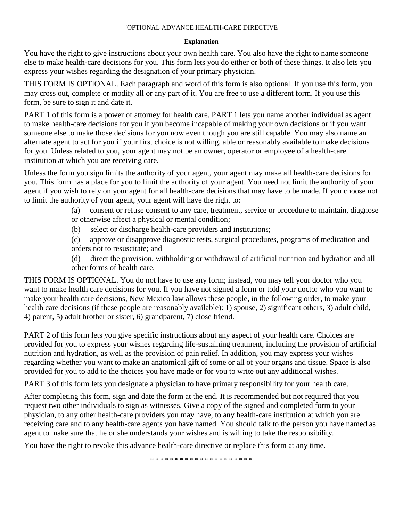#### "OPTIONAL ADVANCE HEALTH-CARE DIRECTIVE

#### **Explanation**

You have the right to give instructions about your own health care. You also have the right to name someone else to make health-care decisions for you. This form lets you do either or both of these things. It also lets you express your wishes regarding the designation of your primary physician.

THIS FORM IS OPTIONAL. Each paragraph and word of this form is also optional. If you use this form, you may cross out, complete or modify all or any part of it. You are free to use a different form. If you use this form, be sure to sign it and date it.

PART 1 of this form is a power of attorney for health care. PART 1 lets you name another individual as agent to make health-care decisions for you if you become incapable of making your own decisions or if you want someone else to make those decisions for you now even though you are still capable. You may also name an alternate agent to act for you if your first choice is not willing, able or reasonably available to make decisions for you. Unless related to you, your agent may not be an owner, operator or employee of a health-care institution at which you are receiving care.

Unless the form you sign limits the authority of your agent, your agent may make all health-care decisions for you. This form has a place for you to limit the authority of your agent. You need not limit the authority of your agent if you wish to rely on your agent for all health-care decisions that may have to be made. If you choose not to limit the authority of your agent, your agent will have the right to:

- (a) consent or refuse consent to any care, treatment, service or procedure to maintain, diagnose or otherwise affect a physical or mental condition;
- (b) select or discharge health-care providers and institutions;

(c) approve or disapprove diagnostic tests, surgical procedures, programs of medication and orders not to resuscitate; and

(d) direct the provision, withholding or withdrawal of artificial nutrition and hydration and all other forms of health care.

THIS FORM IS OPTIONAL. You do not have to use any form; instead, you may tell your doctor who you want to make health care decisions for you. If you have not signed a form or told your doctor who you want to make your health care decisions, New Mexico law allows these people, in the following order, to make your health care decisions (if these people are reasonably available): 1) spouse, 2) significant others, 3) adult child, 4) parent, 5) adult brother or sister, 6) grandparent, 7) close friend.

PART 2 of this form lets you give specific instructions about any aspect of your health care. Choices are provided for you to express your wishes regarding life-sustaining treatment, including the provision of artificial nutrition and hydration, as well as the provision of pain relief. In addition, you may express your wishes regarding whether you want to make an anatomical gift of some or all of your organs and tissue. Space is also provided for you to add to the choices you have made or for you to write out any additional wishes.

PART 3 of this form lets you designate a physician to have primary responsibility for your health care.

After completing this form, sign and date the form at the end. It is recommended but not required that you request two other individuals to sign as witnesses. Give a copy of the signed and completed form to your physician, to any other health-care providers you may have, to any health-care institution at which you are receiving care and to any health-care agents you have named. You should talk to the person you have named as agent to make sure that he or she understands your wishes and is willing to take the responsibility.

You have the right to revoke this advance health-care directive or replace this form at any time.

\* \* \* \* \* \* \* \* \* \* \* \* \* \* \* \* \* \* \* \*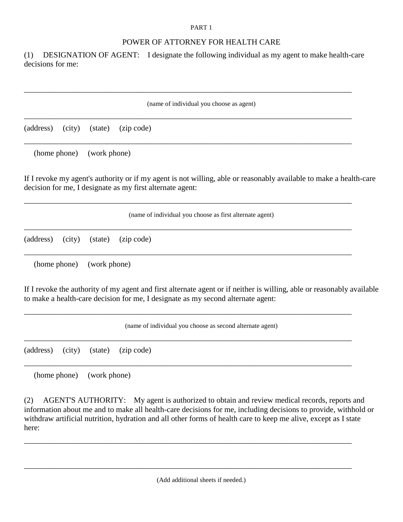#### PART 1

## POWER OF ATTORNEY FOR HEALTH CARE

(1) DESIGNATION OF AGENT: I designate the following individual as my agent to make health-care decisions for me:

| (name of individual you choose as agent) |  |                |            |  |  |
|------------------------------------------|--|----------------|------------|--|--|
| (address)                                |  | (city) (state) | (zip code) |  |  |
| (home phone) (work phone)                |  |                |            |  |  |

If I revoke my agent's authority or if my agent is not willing, able or reasonably available to make a health-care decision for me, I designate as my first alternate agent:

\_\_\_\_\_\_\_\_\_\_\_\_\_\_\_\_\_\_\_\_\_\_\_\_\_\_\_\_\_\_\_\_\_\_\_\_\_\_\_\_\_\_\_\_\_\_\_\_\_\_\_\_\_\_\_\_\_\_\_\_\_\_\_\_\_\_\_\_\_\_\_\_\_\_\_\_\_\_\_\_\_\_\_

\_\_\_\_\_\_\_\_\_\_\_\_\_\_\_\_\_\_\_\_\_\_\_\_\_\_\_\_\_\_\_\_\_\_\_\_\_\_\_\_\_\_\_\_\_\_\_\_\_\_\_\_\_\_\_\_\_\_\_\_\_\_\_\_\_\_\_\_\_\_\_\_\_\_\_\_\_\_\_\_\_\_\_

\_\_\_\_\_\_\_\_\_\_\_\_\_\_\_\_\_\_\_\_\_\_\_\_\_\_\_\_\_\_\_\_\_\_\_\_\_\_\_\_\_\_\_\_\_\_\_\_\_\_\_\_\_\_\_\_\_\_\_\_\_\_\_\_\_\_\_\_\_\_\_\_\_\_\_\_\_\_\_\_\_\_\_

\_\_\_\_\_\_\_\_\_\_\_\_\_\_\_\_\_\_\_\_\_\_\_\_\_\_\_\_\_\_\_\_\_\_\_\_\_\_\_\_\_\_\_\_\_\_\_\_\_\_\_\_\_\_\_\_\_\_\_\_\_\_\_\_\_\_\_\_\_\_\_\_\_\_\_\_\_\_\_\_\_\_\_

\_\_\_\_\_\_\_\_\_\_\_\_\_\_\_\_\_\_\_\_\_\_\_\_\_\_\_\_\_\_\_\_\_\_\_\_\_\_\_\_\_\_\_\_\_\_\_\_\_\_\_\_\_\_\_\_\_\_\_\_\_\_\_\_\_\_\_\_\_\_\_\_\_\_\_\_\_\_\_\_\_\_\_

\_\_\_\_\_\_\_\_\_\_\_\_\_\_\_\_\_\_\_\_\_\_\_\_\_\_\_\_\_\_\_\_\_\_\_\_\_\_\_\_\_\_\_\_\_\_\_\_\_\_\_\_\_\_\_\_\_\_\_\_\_\_\_\_\_\_\_\_\_\_\_\_\_\_\_\_\_\_\_\_\_\_\_

\_\_\_\_\_\_\_\_\_\_\_\_\_\_\_\_\_\_\_\_\_\_\_\_\_\_\_\_\_\_\_\_\_\_\_\_\_\_\_\_\_\_\_\_\_\_\_\_\_\_\_\_\_\_\_\_\_\_\_\_\_\_\_\_\_\_\_\_\_\_\_\_\_\_\_\_\_\_\_\_\_\_\_

\_\_\_\_\_\_\_\_\_\_\_\_\_\_\_\_\_\_\_\_\_\_\_\_\_\_\_\_\_\_\_\_\_\_\_\_\_\_\_\_\_\_\_\_\_\_\_\_\_\_\_\_\_\_\_\_\_\_\_\_\_\_\_\_\_\_\_\_\_\_\_\_\_\_\_\_\_\_\_\_\_\_\_

(name of individual you choose as first alternate agent)

(address) (city) (state) (zip code)

(home phone) (work phone)

If I revoke the authority of my agent and first alternate agent or if neither is willing, able or reasonably available to make a health-care decision for me, I designate as my second alternate agent:

(name of individual you choose as second alternate agent)

(address) (city) (state) (zip code)

(home phone) (work phone)

(2) AGENT'S AUTHORITY: My agent is authorized to obtain and review medical records, reports and information about me and to make all health-care decisions for me, including decisions to provide, withhold or withdraw artificial nutrition, hydration and all other forms of health care to keep me alive, except as I state here:

(Add additional sheets if needed.)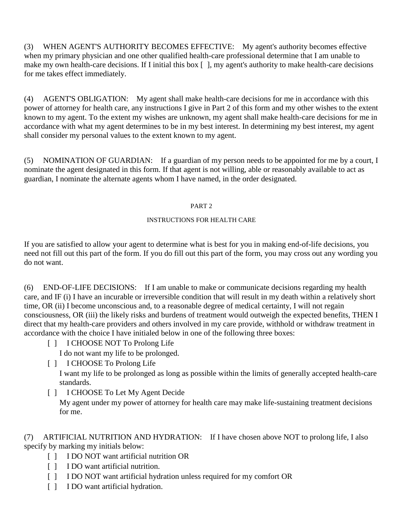(3) WHEN AGENT'S AUTHORITY BECOMES EFFECTIVE: My agent's authority becomes effective when my primary physician and one other qualified health-care professional determine that I am unable to make my own health-care decisions. If I initial this box  $\lceil \cdot \rceil$ , my agent's authority to make health-care decisions for me takes effect immediately.

(4) AGENT'S OBLIGATION: My agent shall make health-care decisions for me in accordance with this power of attorney for health care, any instructions I give in Part 2 of this form and my other wishes to the extent known to my agent. To the extent my wishes are unknown, my agent shall make health-care decisions for me in accordance with what my agent determines to be in my best interest. In determining my best interest, my agent shall consider my personal values to the extent known to my agent.

(5) NOMINATION OF GUARDIAN: If a guardian of my person needs to be appointed for me by a court, I nominate the agent designated in this form. If that agent is not willing, able or reasonably available to act as guardian, I nominate the alternate agents whom I have named, in the order designated.

## PART 2

## INSTRUCTIONS FOR HEALTH CARE

If you are satisfied to allow your agent to determine what is best for you in making end-of-life decisions, you need not fill out this part of the form. If you do fill out this part of the form, you may cross out any wording you do not want.

(6) END-OF-LIFE DECISIONS: If I am unable to make or communicate decisions regarding my health care, and IF (i) I have an incurable or irreversible condition that will result in my death within a relatively short time, OR (ii) I become unconscious and, to a reasonable degree of medical certainty, I will not regain consciousness, OR (iii) the likely risks and burdens of treatment would outweigh the expected benefits, THEN I direct that my health-care providers and others involved in my care provide, withhold or withdraw treatment in accordance with the choice I have initialed below in one of the following three boxes:

[ ] I CHOOSE NOT To Prolong Life

I do not want my life to be prolonged.

[ ] I CHOOSE To Prolong Life

I want my life to be prolonged as long as possible within the limits of generally accepted health-care standards.

[ ] I CHOOSE To Let My Agent Decide

My agent under my power of attorney for health care may make life-sustaining treatment decisions for me.

(7) ARTIFICIAL NUTRITION AND HYDRATION: If I have chosen above NOT to prolong life, I also specify by marking my initials below:

- [ ] I DO NOT want artificial nutrition OR
- [  $\vert$  I DO want artificial nutrition.
- [ ] I DO NOT want artificial hydration unless required for my comfort OR
- [ ] I DO want artificial hydration.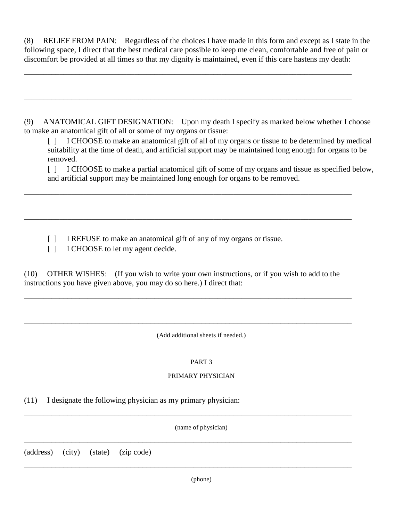(8) RELIEF FROM PAIN: Regardless of the choices I have made in this form and except as I state in the following space, I direct that the best medical care possible to keep me clean, comfortable and free of pain or discomfort be provided at all times so that my dignity is maintained, even if this care hastens my death:

\_\_\_\_\_\_\_\_\_\_\_\_\_\_\_\_\_\_\_\_\_\_\_\_\_\_\_\_\_\_\_\_\_\_\_\_\_\_\_\_\_\_\_\_\_\_\_\_\_\_\_\_\_\_\_\_\_\_\_\_\_\_\_\_\_\_\_\_\_\_\_\_\_\_\_\_\_\_\_\_\_\_\_

\_\_\_\_\_\_\_\_\_\_\_\_\_\_\_\_\_\_\_\_\_\_\_\_\_\_\_\_\_\_\_\_\_\_\_\_\_\_\_\_\_\_\_\_\_\_\_\_\_\_\_\_\_\_\_\_\_\_\_\_\_\_\_\_\_\_\_\_\_\_\_\_\_\_\_\_\_\_\_\_\_\_\_

\_\_\_\_\_\_\_\_\_\_\_\_\_\_\_\_\_\_\_\_\_\_\_\_\_\_\_\_\_\_\_\_\_\_\_\_\_\_\_\_\_\_\_\_\_\_\_\_\_\_\_\_\_\_\_\_\_\_\_\_\_\_\_\_\_\_\_\_\_\_\_\_\_\_\_\_\_\_\_\_\_\_\_

\_\_\_\_\_\_\_\_\_\_\_\_\_\_\_\_\_\_\_\_\_\_\_\_\_\_\_\_\_\_\_\_\_\_\_\_\_\_\_\_\_\_\_\_\_\_\_\_\_\_\_\_\_\_\_\_\_\_\_\_\_\_\_\_\_\_\_\_\_\_\_\_\_\_\_\_\_\_\_\_\_\_\_

(9) ANATOMICAL GIFT DESIGNATION: Upon my death I specify as marked below whether I choose to make an anatomical gift of all or some of my organs or tissue:

[ ] I CHOOSE to make an anatomical gift of all of my organs or tissue to be determined by medical suitability at the time of death, and artificial support may be maintained long enough for organs to be removed.

[ ] I CHOOSE to make a partial anatomical gift of some of my organs and tissue as specified below, and artificial support may be maintained long enough for organs to be removed.

[ ] I REFUSE to make an anatomical gift of any of my organs or tissue.

[ ] I CHOOSE to let my agent decide.

(10) OTHER WISHES: (If you wish to write your own instructions, or if you wish to add to the instructions you have given above, you may do so here.) I direct that:

\_\_\_\_\_\_\_\_\_\_\_\_\_\_\_\_\_\_\_\_\_\_\_\_\_\_\_\_\_\_\_\_\_\_\_\_\_\_\_\_\_\_\_\_\_\_\_\_\_\_\_\_\_\_\_\_\_\_\_\_\_\_\_\_\_\_\_\_\_\_\_\_\_\_\_\_\_\_\_\_\_\_\_

\_\_\_\_\_\_\_\_\_\_\_\_\_\_\_\_\_\_\_\_\_\_\_\_\_\_\_\_\_\_\_\_\_\_\_\_\_\_\_\_\_\_\_\_\_\_\_\_\_\_\_\_\_\_\_\_\_\_\_\_\_\_\_\_\_\_\_\_\_\_\_\_\_\_\_\_\_\_\_\_\_\_\_

(Add additional sheets if needed.)

# PART 3

# PRIMARY PHYSICIAN

(11) I designate the following physician as my primary physician:

(name of physician)

\_\_\_\_\_\_\_\_\_\_\_\_\_\_\_\_\_\_\_\_\_\_\_\_\_\_\_\_\_\_\_\_\_\_\_\_\_\_\_\_\_\_\_\_\_\_\_\_\_\_\_\_\_\_\_\_\_\_\_\_\_\_\_\_\_\_\_\_\_\_\_\_\_\_\_\_\_\_\_\_\_\_\_

\_\_\_\_\_\_\_\_\_\_\_\_\_\_\_\_\_\_\_\_\_\_\_\_\_\_\_\_\_\_\_\_\_\_\_\_\_\_\_\_\_\_\_\_\_\_\_\_\_\_\_\_\_\_\_\_\_\_\_\_\_\_\_\_\_\_\_\_\_\_\_\_\_\_\_\_\_\_\_\_\_\_\_

\_\_\_\_\_\_\_\_\_\_\_\_\_\_\_\_\_\_\_\_\_\_\_\_\_\_\_\_\_\_\_\_\_\_\_\_\_\_\_\_\_\_\_\_\_\_\_\_\_\_\_\_\_\_\_\_\_\_\_\_\_\_\_\_\_\_\_\_\_\_\_\_\_\_\_\_\_\_\_\_\_\_\_

(address) (city) (state) (zip code)